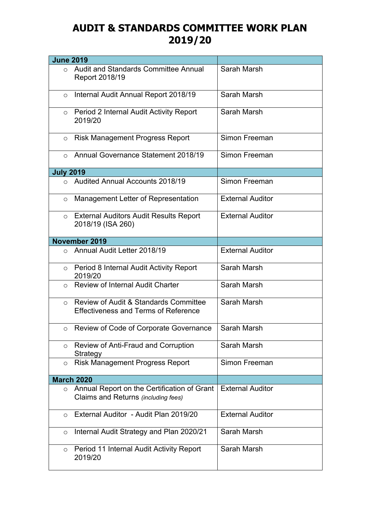## **AUDIT & STANDARDS COMMITTEE WORK PLAN 2019/20**

| <b>June 2019</b> |                                                                                                 |                         |
|------------------|-------------------------------------------------------------------------------------------------|-------------------------|
| $\circ$          | Audit and Standards Committee Annual<br>Report 2018/19                                          | Sarah Marsh             |
| $\circ$          | Internal Audit Annual Report 2018/19                                                            | Sarah Marsh             |
| $\circ$          | Period 2 Internal Audit Activity Report<br>2019/20                                              | Sarah Marsh             |
| $\circ$          | <b>Risk Management Progress Report</b>                                                          | Simon Freeman           |
| $\Omega$         | Annual Governance Statement 2018/19                                                             | Simon Freeman           |
| <b>July 2019</b> |                                                                                                 |                         |
| $\Omega$         | <b>Audited Annual Accounts 2018/19</b>                                                          | Simon Freeman           |
| $\circ$          | Management Letter of Representation                                                             | <b>External Auditor</b> |
| $\circ$          | <b>External Auditors Audit Results Report</b><br>2018/19 (ISA 260)                              | <b>External Auditor</b> |
|                  | November 2019                                                                                   |                         |
| $\circ$          | Annual Audit Letter 2018/19                                                                     | <b>External Auditor</b> |
| $\circ$          | Period 8 Internal Audit Activity Report<br>2019/20                                              | Sarah Marsh             |
| $\circ$          | <b>Review of Internal Audit Charter</b>                                                         | Sarah Marsh             |
| $\circ$          | <b>Review of Audit &amp; Standards Committee</b><br><b>Effectiveness and Terms of Reference</b> | Sarah Marsh             |
| $\circ$          | Review of Code of Corporate Governance                                                          | Sarah Marsh             |
| $\circ$          | Review of Anti-Fraud and Corruption<br>Strategy                                                 | Sarah Marsh             |
| $\circ$          | <b>Risk Management Progress Report</b>                                                          | Simon Freeman           |
|                  | <b>March 2020</b>                                                                               |                         |
| $\circ$          | Annual Report on the Certification of Grant<br>Claims and Returns (including fees)              | <b>External Auditor</b> |
| $\circ$          | External Auditor - Audit Plan 2019/20                                                           | <b>External Auditor</b> |
| $\circ$          | Internal Audit Strategy and Plan 2020/21                                                        | Sarah Marsh             |
| $\circ$          | Period 11 Internal Audit Activity Report<br>2019/20                                             | Sarah Marsh             |